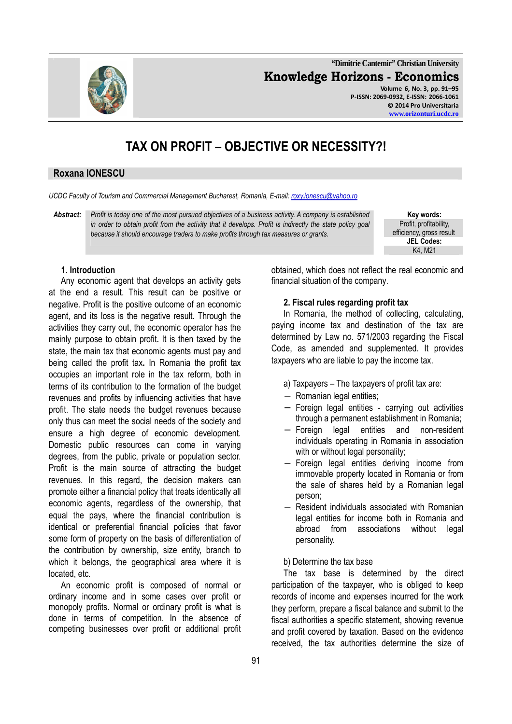**"Dimitrie Cantemir" Christian University Knowledge Horizons - Economics Volume 6, No. 3, pp. 91–95 P-ISSN: 2069-0932, E-ISSN: 2066-1061 © 2014 Pro Universitaria** 

# **TAX ON PROFIT – OBJECTIVE OR NECESSITY?!**

#### **Roxana IONESCU**

*UCDC Faculty of Tourism and Commercial Management Bucharest, Romania, E-mail: roxy.ionescu@yahoo.ro*

*Abstract: Profit is today one of the most pursued objectives of a business activity. A company is established in order to obtain profit from the activity that it develops. Profit is indirectly the state policy goal because it should encourage traders to make profits through tax measures or grants.*

**Key words:** Profit, profitability, efficiency, gross result **JEL Codes:**  K4, M21

#### **1. Introduction**

Any economic agent that develops an activity gets at the end a result. This result can be positive or negative. Profit is the positive outcome of an economic agent, and its loss is the negative result. Through the activities they carry out, the economic operator has the mainly purpose to obtain profit**.** It is then taxed by the state, the main tax that economic agents must pay and being called the profit tax**.** In Romania the profit tax occupies an important role in the tax reform, both in terms of its contribution to the formation of the budget revenues and profits by influencing activities that have profit. The state needs the budget revenues because only thus can meet the social needs of the society and ensure a high degree of economic development. Domestic public resources can come in varying degrees, from the public, private or population sector. Profit is the main source of attracting the budget revenues. In this regard, the decision makers can promote either a financial policy that treats identically all economic agents, regardless of the ownership, that equal the pays, where the financial contribution is identical or preferential financial policies that favor some form of property on the basis of differentiation of the contribution by ownership, size entity, branch to which it belongs, the geographical area where it is located, etc.

An economic profit is composed of normal or ordinary income and in some cases over profit or monopoly profits. Normal or ordinary profit is what is done in terms of competition. In the absence of competing businesses over profit or additional profit obtained, which does not reflect the real economic and financial situation of the company.

#### **2. Fiscal rules regarding profit tax**

In Romania, the method of collecting, calculating, paying income tax and destination of the tax are determined by Law no. 571/2003 regarding the Fiscal Code, as amended and supplemented. It provides taxpayers who are liable to pay the income tax.

- a) Taxpayers The taxpayers of profit tax are:
- − Romanian legal entities;
- − Foreign legal entities carrying out activities through a permanent establishment in Romania;
- − Foreign legal entities and non-resident individuals operating in Romania in association with or without legal personality;
- Foreign legal entities deriving income from immovable property located in Romania or from the sale of shares held by a Romanian legal person;
- − Resident individuals associated with Romanian legal entities for income both in Romania and abroad from associations without legal personality.

b) Determine the tax base

The tax base is determined by the direct participation of the taxpayer, who is obliged to keep records of income and expenses incurred for the work they perform, prepare a fiscal balance and submit to the fiscal authorities a specific statement, showing revenue and profit covered by taxation. Based on the evidence received, the tax authorities determine the size of

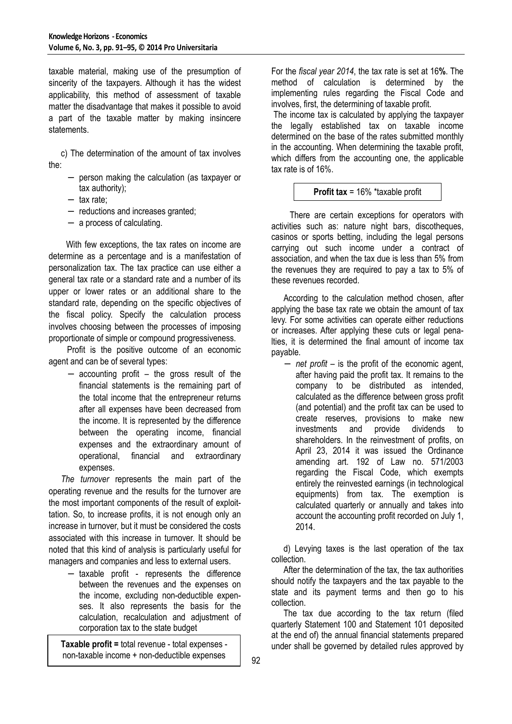taxable material, making use of the presumption of sincerity of the taxpayers. Although it has the widest applicability, this method of assessment of taxable matter the disadvantage that makes it possible to avoid a part of the taxable matter by making insincere statements.

c) The determination of the amount of tax involves the:

- − person making the calculation (as taxpayer or tax authority);
- − tax rate;
- − reductions and increases granted;
- − a process of calculating.

 With few exceptions, the tax rates on income are determine as a percentage and is a manifestation of personalization tax. The tax practice can use either a general tax rate or a standard rate and a number of its upper or lower rates or an additional share to the standard rate, depending on the specific objectives of the fiscal policy. Specify the calculation process involves choosing between the processes of imposing proportionate of simple or compound progressiveness.

Profit is the positive outcome of an economic agent and can be of several types:

accounting profit – the gross result of the financial statements is the remaining part of the total income that the entrepreneur returns after all expenses have been decreased from the income. It is represented by the difference between the operating income, financial expenses and the extraordinary amount of operational, financial and extraordinary expenses.

*The turnover* represents the main part of the operating revenue and the results for the turnover are the most important components of the result of exploittation. So, to increase profits, it is not enough only an increase in turnover, but it must be considered the costs associated with this increase in turnover. It should be noted that this kind of analysis is particularly useful for managers and companies and less to external users.

− taxable profit - represents the difference between the revenues and the expenses on the income, excluding non-deductible expenses. It also represents the basis for the calculation, recalculation and adjustment of corporation tax to the state budget

non-taxable income + non-deductible expenses

For the *fiscal year 2014*, the tax rate is set at 16**%**. The method of calculation is determined by the implementing rules regarding the Fiscal Code and involves, first, the determining of taxable profit.

The income tax is calculated by applying the taxpayer the legally established tax on taxable income determined on the base of the rates submitted monthly in the accounting. When determining the taxable profit, which differs from the accounting one, the applicable tax rate is of 16%.

## **Profit tax** = 16% \*taxable profit

There are certain exceptions for operators with activities such as: nature night bars, discotheques, casinos or sports betting, including the legal persons carrying out such income under a contract of association, and when the tax due is less than 5% from the revenues they are required to pay a tax to 5% of these revenues recorded.

According to the calculation method chosen, after applying the base tax rate we obtain the amount of tax levy. For some activities can operate either reductions or increases. After applying these cuts or legal penalties, it is determined the final amount of income tax payable.

− *net profit* – is the profit of the economic agent, after having paid the profit tax. It remains to the company to be distributed as intended, calculated as the difference between gross profit (and potential) and the profit tax can be used to create reserves, provisions to make new investments and provide dividends to shareholders. In the reinvestment of profits, on April 23, 2014 it was issued the Ordinance amending art. 192 of Law no. 571/2003 regarding the Fiscal Code, which exempts entirely the reinvested earnings (in technological equipments) from tax. The exemption is calculated quarterly or annually and takes into account the accounting profit recorded on July 1, 2014.

d) Levying taxes is the last operation of the tax collection.

After the determination of the tax, the tax authorities should notify the taxpayers and the tax payable to the state and its payment terms and then go to his collection.

The tax due according to the tax return (filed quarterly Statement 100 and Statement 101 deposited at the end of) the annual financial statements prepared **Taxable profit =** total revenue - total expenses -  $\Box$  under shall be governed by detailed rules approved by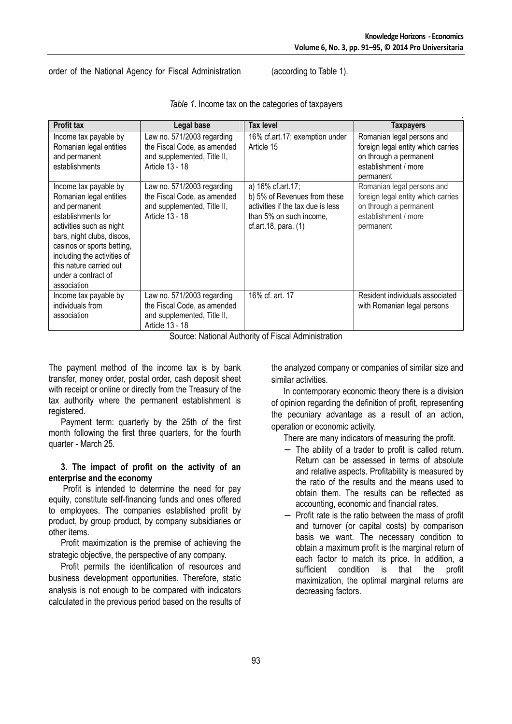order of the National Agency for Fiscal Administration (according to Table 1).

| <b>Profit tax</b>                                                                                                                                                                                                                                                               | Legal base                                                                                                  | Tax level                                                                                                                                 | <b>Taxpayers</b>                                                                                                                |
|---------------------------------------------------------------------------------------------------------------------------------------------------------------------------------------------------------------------------------------------------------------------------------|-------------------------------------------------------------------------------------------------------------|-------------------------------------------------------------------------------------------------------------------------------------------|---------------------------------------------------------------------------------------------------------------------------------|
| Income tax payable by<br>Romanian legal entities<br>and permanent<br>establishments                                                                                                                                                                                             | Law no. 571/2003 regarding<br>the Fiscal Code, as amended<br>and supplemented, Title II,<br>Article 13 - 18 | 16% cf.art.17; exemption under<br>Article 15                                                                                              | Romanian legal persons and<br>foreign legal entity which carries<br>on through a permanent<br>establishment / more<br>permanent |
| Income tax payable by<br>Romanian legal entities<br>and permanent<br>establishments for<br>activities such as night<br>bars, night clubs, discos,<br>casinos or sports betting,<br>including the activities of<br>this nature carried out<br>under a contract of<br>association | Law no. 571/2003 regarding<br>the Fiscal Code, as amended<br>and supplemented, Title II,<br>Article 13 - 18 | a) 16% cf.art.17;<br>b) 5% of Revenues from these<br>activities if the tax due is less<br>than 5% on such income,<br>cf.art.18, para. (1) | Romanian legal persons and<br>foreign legal entity which carries<br>on through a permanent<br>establishment / more<br>permanent |
| Income tax payable by<br>individuals from<br>association                                                                                                                                                                                                                        | Law no. 571/2003 regarding<br>the Fiscal Code, as amended<br>and supplemented, Title II,<br>Article 13 - 18 | 16% cf. art. 17                                                                                                                           | Resident individuals associated<br>with Romanian legal persons                                                                  |

*Table 1*. Income tax on the categories of taxpayers

Source: National Authority of Fiscal Administration

The payment method of the income tax is by bank transfer, money order, postal order, cash deposit sheet with receipt or online or directly from the Treasury of the tax authority where the permanent establishment is registered.

Payment term: quarterly by the 25th of the first month following the first three quarters, for the fourth quarter - March 25.

#### **3. The impact of profit on the activity of an enterprise and the economy**

Profit is intended to determine the need for pay equity, constitute self-financing funds and ones offered to employees. The companies established profit by product, by group product, by company subsidiaries or other items.

Profit maximization is the premise of achieving the strategic objective, the perspective of any company.

Profit permits the identification of resources and business development opportunities. Therefore, static analysis is not enough to be compared with indicators calculated in the previous period based on the results of the analyzed company or companies of similar size and similar activities.

In contemporary economic theory there is a division of opinion regarding the definition of profit, representing the pecuniary advantage as a result of an action, operation or economic activity.

There are many indicators of measuring the profit.

- − The ability of a trader to profit is called return. Return can be assessed in terms of absolute and relative aspects. Profitability is measured by the ratio of the results and the means used to obtain them. The results can be reflected as accounting, economic and financial rates.
- − Profit rate is the ratio between the mass of profit and turnover (or capital costs) by comparison basis we want. The necessary condition to obtain a maximum profit is the marginal return of each factor to match its price. In addition, a sufficient condition is that the profit maximization, the optimal marginal returns are decreasing factors.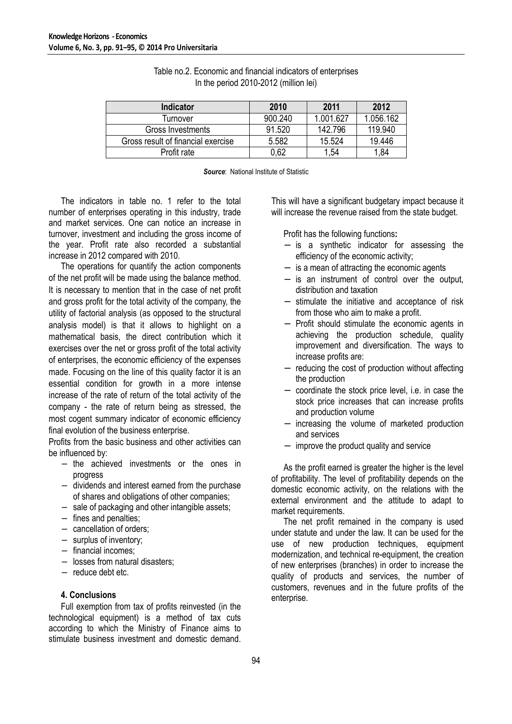| Indicator                          | 2010    | 2011      | 2012      |
|------------------------------------|---------|-----------|-----------|
| Turnover                           | 900.240 | 1.001.627 | 1.056.162 |
| Gross Investments                  | 91.520  | 142.796   | 119,940   |
| Gross result of financial exercise | 5.582   | 15.524    | 19.446    |
| Profit rate                        | 0.62    | .54       | .84       |

| Table no.2. Economic and financial indicators of enterprises |
|--------------------------------------------------------------|
| In the period 2010-2012 (million lei)                        |

**Source: National Institute of Statistic** 

The indicators in table no. 1 refer to the total number of enterprises operating in this industry, trade and market services. One can notice an increase in turnover, investment and including the gross income of the year. Profit rate also recorded a substantial increase in 2012 compared with 2010.

The operations for quantify the action components of the net profit will be made using the balance method. It is necessary to mention that in the case of net profit and gross profit for the total activity of the company, the utility of factorial analysis (as opposed to the structural analysis model) is that it allows to highlight on a mathematical basis, the direct contribution which it exercises over the net or gross profit of the total activity of enterprises, the economic efficiency of the expenses made. Focusing on the line of this quality factor it is an essential condition for growth in a more intense increase of the rate of return of the total activity of the company - the rate of return being as stressed, the most cogent summary indicator of economic efficiency final evolution of the business enterprise.

Profits from the basic business and other activities can be influenced by:

- − the achieved investments or the ones in progress
- − dividends and interest earned from the purchase of shares and obligations of other companies;
- − sale of packaging and other intangible assets;
- − fines and penalties;
- − cancellation of orders;
- − surplus of inventory;
- − financial incomes;
- − losses from natural disasters;
- − reduce debt etc.

## **4. Conclusions**

Full exemption from tax of profits reinvested (in the technological equipment) is a method of tax cuts according to which the Ministry of Finance aims to stimulate business investment and domestic demand. This will have a significant budgetary impact because it will increase the revenue raised from the state budget.

Profit has the following functions**:**

- − is a synthetic indicator for assessing the efficiency of the economic activity;
- − is a mean of attracting the economic agents
- − is an instrument of control over the output, distribution and taxation
- − stimulate the initiative and acceptance of risk from those who aim to make a profit.
- − Profit should stimulate the economic agents in achieving the production schedule, quality improvement and diversification. The ways to increase profits are:
- − reducing the cost of production without affecting the production
- − coordinate the stock price level, i.e. in case the stock price increases that can increase profits and production volume
- increasing the volume of marketed production and services
- − improve the product quality and service

As the profit earned is greater the higher is the level of profitability. The level of profitability depends on the domestic economic activity, on the relations with the external environment and the attitude to adapt to market requirements.

The net profit remained in the company is used under statute and under the law. It can be used for the use of new production techniques, equipment modernization, and technical re-equipment, the creation of new enterprises (branches) in order to increase the quality of products and services, the number of customers, revenues and in the future profits of the enterprise.